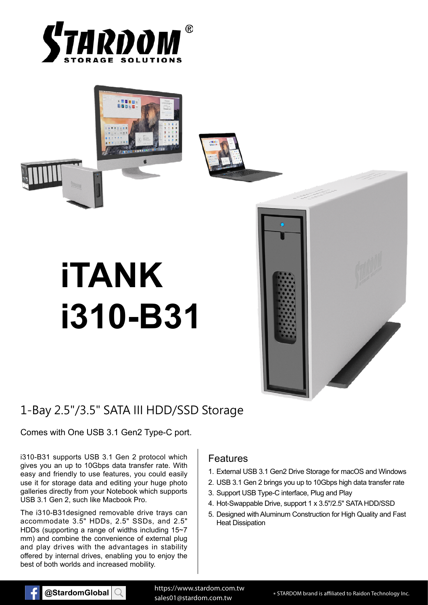





# **iTANK i310-B31**

# **September 1986**

# 1-Bay 2.5"/3.5" SATA III HDD/SSD Storage

### Comes with One USB 3.1 Gen2 Type-C port.

i310-B31 supports USB 3.1 Gen 2 protocol which gives you an up to 10Gbps data transfer rate. With easy and friendly to use features, you could easily use it for storage data and editing your huge photo galleries directly from your Notebook which supports USB 3.1 Gen 2, such like Macbook Pro.

The i310-B31designed removable drive trays can accommodate 3.5" HDDs, 2.5" SSDs, and 2.5" HDDs (supporting a range of widths including 15~7 mm) and combine the convenience of external plug and play drives with the advantages in stability offered by internal drives, enabling you to enjoy the best of both worlds and increased mobility.

### Features

- 1. External USB 3.1 Gen2 Drive Storage for macOS and Windows
- 2. USB 3.1 Gen 2 brings you up to 10Gbps high data transfer rate
- 3. Support USB Type-C interface, Plug and Play
- 4. Hot-Swappable Drive, support 1 x 3.5"/2.5" SATA HDD/SSD
- 5. Designed with Aluminum Construction for High Quality and Fast Heat Dissipation



**@StardomGlobal** Q https://www.stardom.com.tw